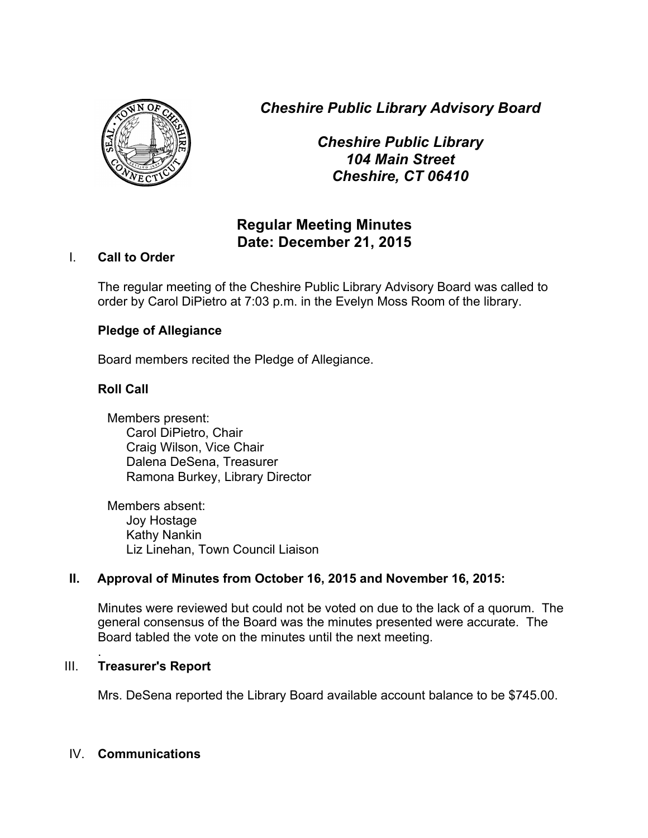*Cheshire Public Library Advisory Board*

*Cheshire Public Library 104 Main Street Cheshire, CT 06410*

# **Regular Meeting Minutes Date: December 21, 2015**

## I. **Call to Order**

The regular meeting of the Cheshire Public Library Advisory Board was called to order by Carol DiPietro at 7:03 p.m. in the Evelyn Moss Room of the library.

## **Pledge of Allegiance**

Board members recited the Pledge of Allegiance.

## **Roll Call**

Members present: Carol DiPietro, Chair Craig Wilson, Vice Chair Dalena DeSena, Treasurer Ramona Burkey, Library Director

Members absent: Joy Hostage Kathy Nankin Liz Linehan, Town Council Liaison

## **II. Approval of Minutes from October 16, 2015 and November 16, 2015:**

Minutes were reviewed but could not be voted on due to the lack of a quorum. The general consensus of the Board was the minutes presented were accurate. The Board tabled the vote on the minutes until the next meeting.

#### . III. **Treasurer's Report**

Mrs. DeSena reported the Library Board available account balance to be \$745.00.

## IV. **Communications**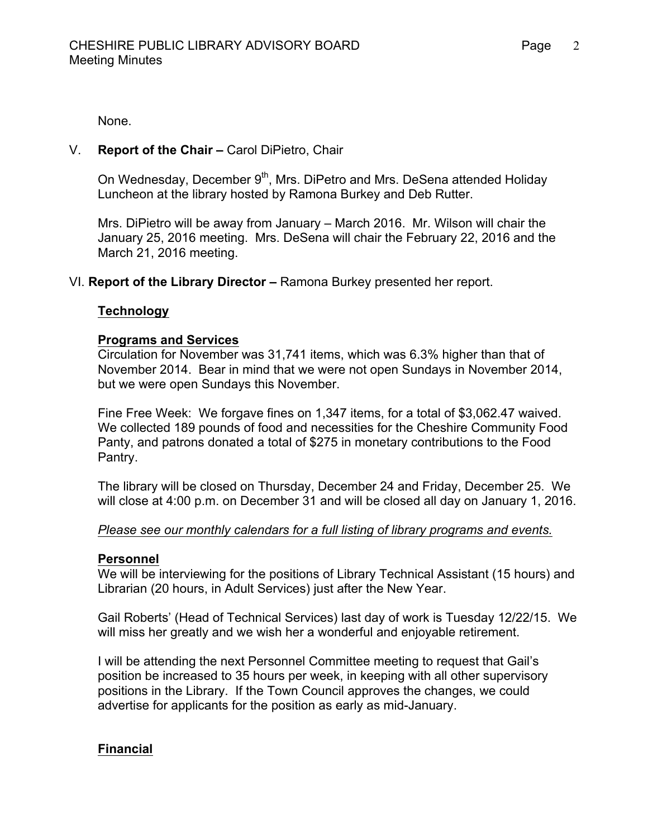2

None.

## V. **Report of the Chair –** Carol DiPietro, Chair

On Wednesday, December 9<sup>th</sup>, Mrs. DiPetro and Mrs. DeSena attended Holiday Luncheon at the library hosted by Ramona Burkey and Deb Rutter.

Mrs. DiPietro will be away from January – March 2016. Mr. Wilson will chair the January 25, 2016 meeting. Mrs. DeSena will chair the February 22, 2016 and the March 21, 2016 meeting.

## VI. **Report of the Library Director –** Ramona Burkey presented her report.

## **Technology**

#### **Programs and Services**

Circulation for November was 31,741 items, which was 6.3% higher than that of November 2014. Bear in mind that we were not open Sundays in November 2014, but we were open Sundays this November.

Fine Free Week: We forgave fines on 1,347 items, for a total of \$3,062.47 waived. We collected 189 pounds of food and necessities for the Cheshire Community Food Panty, and patrons donated a total of \$275 in monetary contributions to the Food Pantry.

The library will be closed on Thursday, December 24 and Friday, December 25. We will close at 4:00 p.m. on December 31 and will be closed all day on January 1, 2016.

#### *Please see our monthly calendars for a full listing of library programs and events.*

#### **Personnel**

We will be interviewing for the positions of Library Technical Assistant (15 hours) and Librarian (20 hours, in Adult Services) just after the New Year.

Gail Roberts' (Head of Technical Services) last day of work is Tuesday 12/22/15. We will miss her greatly and we wish her a wonderful and enjoyable retirement.

I will be attending the next Personnel Committee meeting to request that Gail's position be increased to 35 hours per week, in keeping with all other supervisory positions in the Library. If the Town Council approves the changes, we could advertise for applicants for the position as early as mid-January.

## **Financial**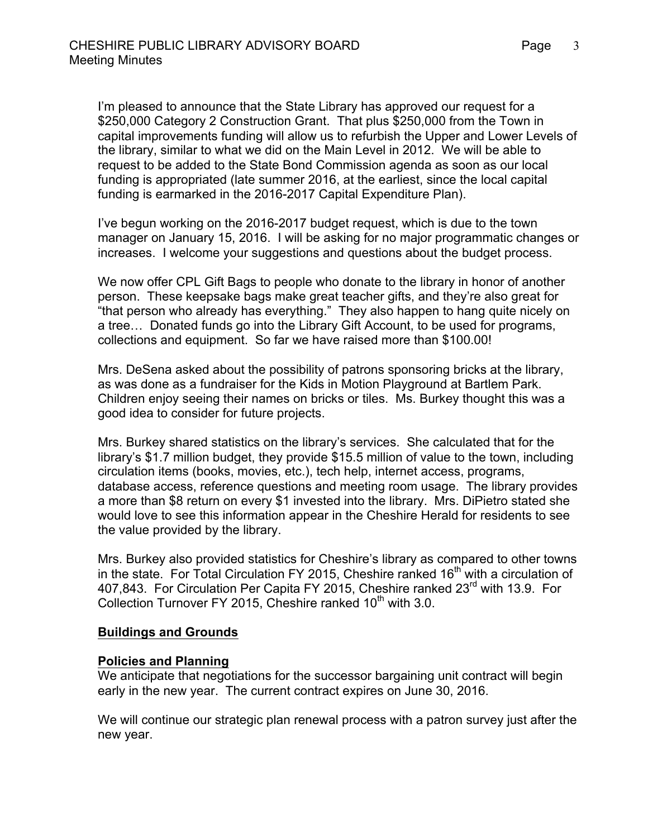I'm pleased to announce that the State Library has approved our request for a \$250,000 Category 2 Construction Grant. That plus \$250,000 from the Town in capital improvements funding will allow us to refurbish the Upper and Lower Levels of the library, similar to what we did on the Main Level in 2012. We will be able to request to be added to the State Bond Commission agenda as soon as our local funding is appropriated (late summer 2016, at the earliest, since the local capital funding is earmarked in the 2016-2017 Capital Expenditure Plan).

I've begun working on the 2016-2017 budget request, which is due to the town manager on January 15, 2016. I will be asking for no major programmatic changes or increases. I welcome your suggestions and questions about the budget process.

We now offer CPL Gift Bags to people who donate to the library in honor of another person. These keepsake bags make great teacher gifts, and they're also great for "that person who already has everything." They also happen to hang quite nicely on a tree… Donated funds go into the Library Gift Account, to be used for programs, collections and equipment. So far we have raised more than \$100.00!

Mrs. DeSena asked about the possibility of patrons sponsoring bricks at the library, as was done as a fundraiser for the Kids in Motion Playground at Bartlem Park. Children enjoy seeing their names on bricks or tiles. Ms. Burkey thought this was a good idea to consider for future projects.

Mrs. Burkey shared statistics on the library's services. She calculated that for the library's \$1.7 million budget, they provide \$15.5 million of value to the town, including circulation items (books, movies, etc.), tech help, internet access, programs, database access, reference questions and meeting room usage. The library provides a more than \$8 return on every \$1 invested into the library. Mrs. DiPietro stated she would love to see this information appear in the Cheshire Herald for residents to see the value provided by the library.

Mrs. Burkey also provided statistics for Cheshire's library as compared to other towns in the state. For Total Circulation FY 2015, Cheshire ranked  $16<sup>th</sup>$  with a circulation of 407,843. For Circulation Per Capita FY 2015, Cheshire ranked 23<sup>rd</sup> with 13.9. For Collection Turnover FY 2015, Cheshire ranked  $10<sup>th</sup>$  with 3.0.

## **Buildings and Grounds**

## **Policies and Planning**

We anticipate that negotiations for the successor bargaining unit contract will begin early in the new year. The current contract expires on June 30, 2016.

We will continue our strategic plan renewal process with a patron survey just after the new year.